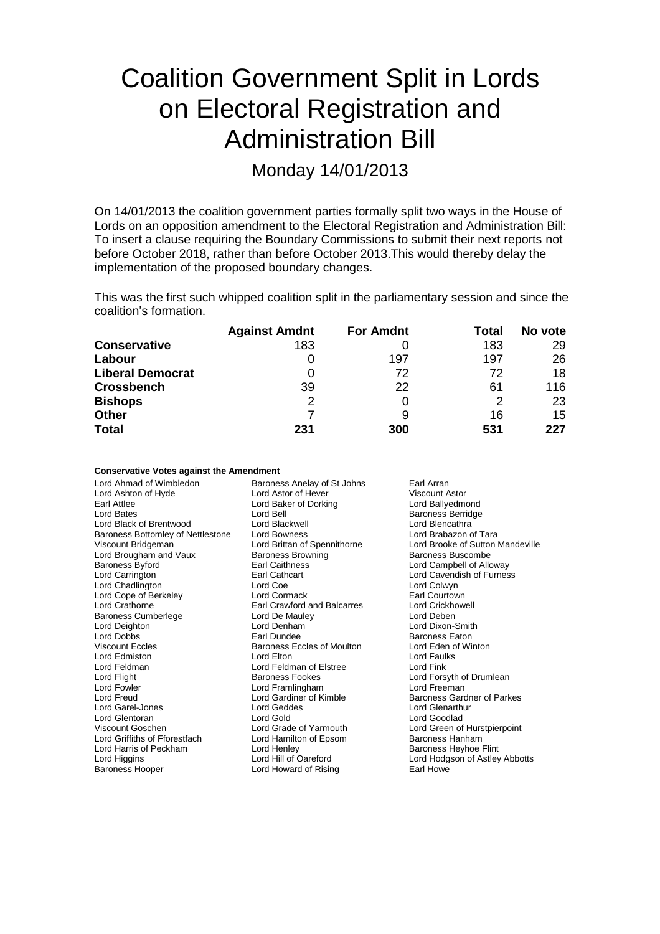# Coalition Government Split in Lords on Electoral Registration and Administration Bill

Monday 14/01/2013

On 14/01/2013 the coalition government parties formally split two ways in the House of Lords on an opposition amendment to the Electoral Registration and Administration Bill: To insert a clause requiring the Boundary Commissions to submit their next reports not before October 2018, rather than before October 2013.This would thereby delay the implementation of the proposed boundary changes.

This was the first such whipped coalition split in the parliamentary session and since the coalition's formation.

|                         | <b>Against Amdnt</b> | <b>For Amdnt</b> | Total | No vote |
|-------------------------|----------------------|------------------|-------|---------|
| <b>Conservative</b>     | 183                  |                  | 183   | 29      |
| Labour                  | 0                    | 197              | 197   | 26      |
| <b>Liberal Democrat</b> |                      | 72               | 72    | 18      |
| <b>Crossbench</b>       | 39                   | 22               | 61    | 116     |
| <b>Bishops</b>          | 2                    |                  | 2     | 23      |
| <b>Other</b>            |                      | 9                | 16    | 15      |
| <b>Total</b>            | 231                  | 300              | 531   | 227     |

| <b>Conservative Votes against the Amendment</b> |  |  |  |  |
|-------------------------------------------------|--|--|--|--|
|-------------------------------------------------|--|--|--|--|

| Lord Ahmad of Wimbledon           | Baroness Anelay of St Johns        | Earl Arran                       |
|-----------------------------------|------------------------------------|----------------------------------|
| Lord Ashton of Hyde               | Lord Astor of Hever                | Viscount Astor                   |
| Earl Attlee                       | Lord Baker of Dorking              | Lord Ballyedmond                 |
| <b>Lord Bates</b>                 | Lord Bell                          | <b>Baroness Berridge</b>         |
| Lord Black of Brentwood           | Lord Blackwell                     | Lord Blencathra                  |
| Baroness Bottomley of Nettlestone | <b>Lord Bowness</b>                | Lord Brabazon of Tara            |
| Viscount Bridgeman                | Lord Brittan of Spennithorne       | Lord Brooke of Sutton Mandeville |
| Lord Brougham and Vaux            | <b>Baroness Browning</b>           | Baroness Buscombe                |
| <b>Baroness Byford</b>            | Earl Caithness                     | Lord Campbell of Alloway         |
| Lord Carrington                   | Earl Cathcart                      | Lord Cavendish of Furness        |
| Lord Chadlington                  | Lord Coe                           | Lord Colwyn                      |
| Lord Cope of Berkeley             | Lord Cormack                       | Earl Courtown                    |
| Lord Crathorne                    | <b>Earl Crawford and Balcarres</b> | <b>Lord Crickhowell</b>          |
| <b>Baroness Cumberlege</b>        | Lord De Mauley                     | Lord Deben                       |
| Lord Deighton                     | Lord Denham                        | Lord Dixon-Smith                 |
| <b>Lord Dobbs</b>                 | Earl Dundee                        | <b>Baroness Eaton</b>            |
| <b>Viscount Eccles</b>            | Baroness Eccles of Moulton         | Lord Eden of Winton              |
| Lord Edmiston                     | Lord Elton                         | Lord Faulks                      |
| Lord Feldman                      | Lord Feldman of Elstree            | Lord Fink                        |
| Lord Flight                       | <b>Baroness Fookes</b>             | Lord Forsyth of Drumlean         |
| Lord Fowler                       | Lord Framlingham                   | Lord Freeman                     |
| Lord Freud                        | Lord Gardiner of Kimble            | Baroness Gardner of Parkes       |
| Lord Garel-Jones                  | Lord Geddes                        | Lord Glenarthur                  |
| Lord Glentoran                    | Lord Gold                          | Lord Goodlad                     |
| Viscount Goschen                  | Lord Grade of Yarmouth             | Lord Green of Hurstpierpoint     |
| Lord Griffiths of Fforestfach     | Lord Hamilton of Epsom             | Baroness Hanham                  |
| Lord Harris of Peckham            | Lord Henley                        | <b>Baroness Heyhoe Flint</b>     |
| Lord Higgins                      | Lord Hill of Oareford              | Lord Hodgson of Astley Abbotts   |
| <b>Baroness Hooper</b>            | Lord Howard of Rising              | Earl Howe                        |
|                                   |                                    |                                  |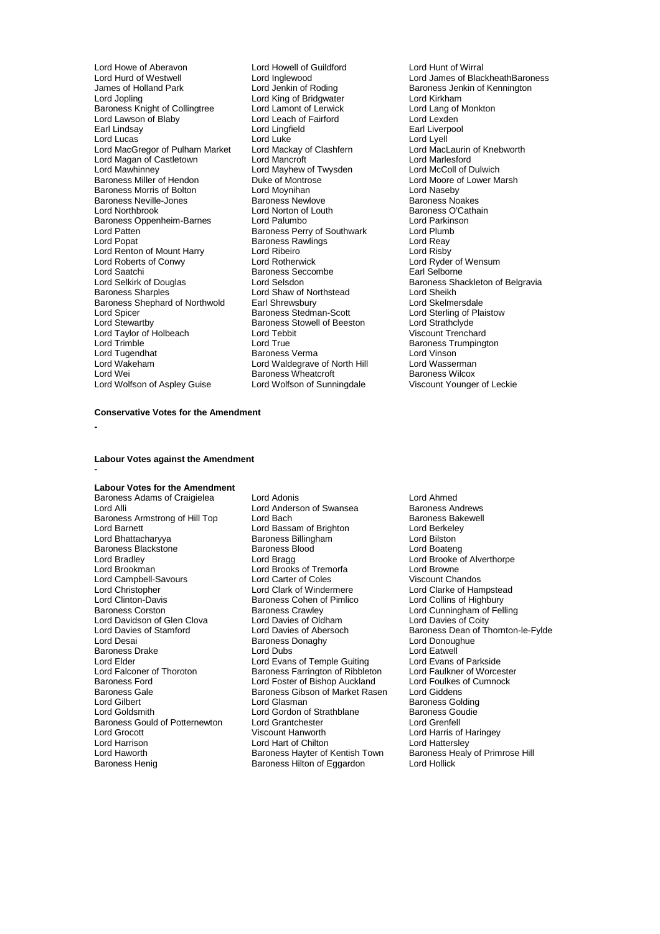Lord Howe of Aberavon Lord Howell of Guildford Cord Hunt of Wirral<br>
Lord Hunt of Westwell Lord Inglewood Lord Lord James of Blac Lord Hurd of Westwell Lord Inglewood Lord James of BlackheathBaroness James of Holland Park Lord Jenkin of Roding Baroness Jenkin of Kennington Baroness Knight of Collingtree Lord Lamont of Lerwick Lord Lang of Lord Lang of Lord Lexden<br>
Lord Lawson of Blaby Lord Leach of Fairford Lord Lexden Lord Lawson of Blaby<br>
Lord Lord Leach of Fairford<br>
Lord Lingfield
Lord Lingfield
Lord Lingfield
Lord Lingfield
Lord Lingfield
Lord
Lord Lingfield
Lord
Lingfield
Lord
Lord
Lingfield
Lord
Lingfield
Lord
Lingfield
Lord
Lingfi Earl Lindsay **Lord Lingfield**<br>
Lord Lucas<br>
Lord Lucas Lord MacGregor of Pulham Market Lord Mackay of Clashfern **Lord MacLaurin Lord MacLaurin Cord Mac**<br>Lord Macan of Castletown Lord Mancroft **Cord Cord Macconth** Lord Magan of Castletown Lord Mancroft Lord Marlesford Lord Mawhinney Lord Mayhew of Twysden<br>
Baroness Miller of Hendon<br>
Duke of Montrose Baroness Morris of Bolton Lord Moynihan Lord Naseby Baroness Neville-Jones **Baroness Newlove**<br> **Baroness Newlove** Baroness Newlove<br>
Lord Norton of Louth Baroness Oppenheim-Barnes Lord Palumbo<br>
Lord Patten Cord Parkinson Baroness Perry of Southwark Lord Plumb Lord Patten **Constanting Community Constructs Baroness Perry of Southwark Lord Plumb**<br>
Baroness Rawlings Lord Reay Lord Renton of Mount Harry Lord Ribeiro<br>
Lord Roberts of Conwy Lord Rotherwick Lord Roberts of Conwy **Lord Rotherwick** Lord Rotherwick Lord Ryder of Wensum<br>
Lord Saatchi **Rational Baroness Seccombe** Farl Selborne Lord Saatchi **Baroness Seccombe**<br> **Lord Selshirk of Douglas**<br>
Lord Selsdon Lord Selkirk of Douglas Lord Selsdon<br>
Lord Shav of Northstead
Baroness Sharples
Baroness Sharples
Baroness
Lord Shaw of Northstead
Lord Sheikh
Baroness
Sharples

Lord Shaw of Northstead

Lord Sheikh Baroness Shephard of Northwold Earl Shrewsbury<br>
Lord Spicer Baroness Stedman-Scott Lord Spicer The Control of Baroness Stedman-Scott Lord Sterling of Plaistow<br>Lord Stewartby Baroness Stowell of Beeston Lord Strathclyde Lord Taylor of Holbeach Lord Tebb<br>1991 Lord Trimble Cord True Lord Trimble **Lord True** Lord True **Lord True** Baroness Trumpington<br>
Lord Tugendhat Baroness Verma Lord Vinson Lord Tugendhat Baroness Verma Lord Vinson Lord Wakeham Lord Waldegrave of North Hill Lord Wasserman Lord Wei **Baroness Wheatcroft** Baroness Wilcox<br>
Lord Wolfson of Aspley Guise **Baroness Wheatcroft** Baroness Wiscount Younger of Leckie

Lord King of Bridgwater Lord Kirkham<br>
Lord Lamont of Lerwick Lord Lang of Monkton Lord Luke<br>
Lord Mackay of Clashfern<br>
Lord MacLaurin of Knebworth **Baroness Miller Controse** Lord Moore of Lower Marsh<br>
Lord Moynihan<br>
Lord Naseby Lord Norton of Louth Baroness O'Cathain<br>
Lord Palumbo<br>
Lord Parkinson Baroness Rawlings **Lord Reay**<br>
Lord Ribeiro<br>
Lord Risby Lord Shaw of Northstead Lord Sheikh<br>
Earl Shrewsbury Lord Skelmersdale Baroness Stowell of Beeston Lord Strathclyde<br>
Lord Tebbit Cord Tenchard<br>
Viscount Trenchard Lord Wolfson of Sunningdale

### **Conservative Votes for the Amendment**

**-**

**-**

**Labour Votes against the Amendment**

### **Labour Votes for the Amendment**

Baroness Adams of Craigielea Lord Adonis<br>
Lord Andreson of Swansea Baroness Andrews<br>
Lord Andrews<br>
Lord Anderson of Swansea Baroness Andrews Baroness Blackstone Baroness B<br>
Lord Bradley Baroness B<br>
Lord Bragg Lord Campbell-Savours Lord Carter of Coles<br>
Lord Christopher Chandos Lord Clark of Windermere Lord Davidson of Glen Clova Lord Davies of Oldham<br>
Lord Davies of Stamford Lord Davies of Abersoch Baroness Gould of Potternewton Lord Grantchester<br>
Lord Grocott Cord Creation Criscount Hanworth Lord Haworth **Baroness Hayter of Kentish Town** Baroness Healy Baroness Healy Baroness Healy Baroness Hilton of Equardon

Lord Anderson of Swansea **Baroness Andrews**<br>Lord Bach **Baroness** Bakewell Baroness Armstrong of Hill Top Lord Bach Baroness Bakewell Baroness Bakewell Baroness Bakewell Lord Baroness Bakewell Lord Baroness Bakewell Lord Baroness Bakewell Lord Baroness Bakewell Lord Baroness Bakewell Lord Barones Lord Barnett **Lord Bassam of Brighton** Lord Berkele<br>
Lord Bhattacharyya **Baroness Billingham** Lord Bilston Exaroness Billingham **Lord Bilston**<br>
Baroness Blood **Lord Boateng** Lord Bradley Lord Bradley Lord Bradley Lord Bradley Lord Bradley Lord Bradley Lord Bradley Lord Brooke of Alverthorpe Lord Brooke of Alverthorpe Lord Brooke of Alverthorpe Lord Brooke of Alverthorpe Lord Brooke of Alvertho Lord Brooks of Tremorfa<br>
Lord Carter of Coles<br>
Viscount Chandos Lord Christopher **Lord Clark of Windermere** Lord Clarke of Hampstead<br>
Lord Clinton-Davis **Columbus** Baroness Cohen of Pimlico Lord Collins of Highbury Baroness Cohen of Pimlico<br>Baroness Crawley Baroness Corston **Baroness Crawley** Baroness Crawley **Lord Cunningham of Felling**<br>
Lord Davidson of Glen Clova Lord Davies of Oldham Lord Davies of Coity Baroness Donaghy **Lord Donoughue Baroness Donaghy** Lord Donoughue Lord Eatwell Baroness Drake **Lord Lord Dubs** Lord Dubs Lord Eatwell<br>
Lord Elder Lord Evans of Temple Guiting Lord Evans of Parkside Lord Elder Lord Evans of Temple Guiting Lord Evans of Parkside<br>
Lord Falconer of Thoroton Baroness Farrington of Ribbleton Lord Faulkner of Worcester Lord Falconer of Thoroton **Baroness Farrington of Ribbleton** Lord Faulkner of Worceste<br>Baroness Ford **Baroness Farrington Condition** Lord Foulkes of Cumnock Baroness Ford **Lord Foster of Bishop Auckland** Lord Foulkes **Cumnock** Lord Foulkes Cumnock Baroness Gibson of Market Rasen Lord Giddens Baroness Gale Baroness Gibson of Market Rasen<br>Lord Gilbert Lord Glasman Lord Gilbert **Communist Communist Communist Communist Communist Communist Communist Communist Communist Communist Communist Communist Communist Communist Communist Communist Communist Communist Communist Communist Communis** Lord Gordon of Strathblane Baroness Go<br>
Lord Grantchester Lord Grenfell Lord Harrison Lord Hart of Chilton Lord Hattersley<br>
Lord Haworth **Collage Hart Constant Hart Corporation** Lord Hattersley<br>
Lord Haworth **Collage Hart Constant Hart Corporation** Baroness Healy of Primrose Hill Baroness Hilton of Eggardon

Lord Davies of Stamford Lord Davies of Abersoch Baroness Dean of Thornton-le-Fylde Lord Harris of Haringey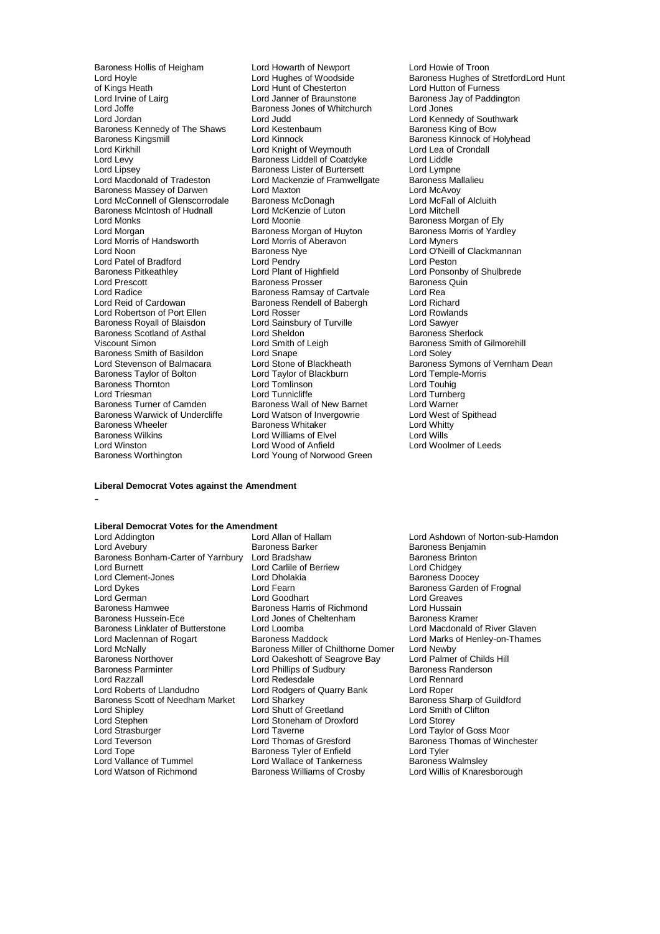of Kings Heath Lord Hunt of Chesterton<br>
Lord Irvine of Lairg<br>
Lord Janner of Braunstone Lord Irvine of Lairg **Lord Lord Janner of Braunstone** Baroness Jay of Paddington<br>
Lord Joffe **Baroness Jones of Whitchurch** Lord Jones Lord Joffe **Baroness Jones of Whitchurch**<br>
Lord Jordan **Lord Judd** Baroness Kennedy of The Shaws Lord Kestenb<br>Baroness Kingsmill Bow Bord Kinnock Baroness Kingsmill **Example 2** Lord Kinnock **Baroness Kinnock of Holyhead**<br>
Lord Kirkhill **Baroness** Lord Kinght of Weymouth **Example 2** Lord Lea of Crondall Lord Kirkhill **Lord Kirkhill** Lord Knight of Weymouth Cord Lea of Lord Lea of Lord Lea of Cord Lea of Lord Liddle Lord Levy **Baroness Liddell of Coatdyke** Lord Liddle<br>
Lord Lipsey **Baroness Lister of Burtersett** Lord Lympne Lord Lipsey<br>
Lord Lipsey Baroness Lister of Burtersett Lord Lympne<br>
Lord Macdonald of Tradeston Lord Mackenzie of Framwellgate Baroness Mallalieu Baroness Massey of Darwen Lord Maxton<br>Lord McConnell of Glenscorrodale Baroness McDonagh Lord McConnell of Glenscorrodale Baroness McDonagh Cord McFall Cord McFall C<br>Baroness McIntosh of Hudnall Lord McKenzie of Luton Lord Mitchell Baroness McIntosh of Hudnall Lord McKenz<br>Lord Monks Lord Moonie Lord Monks **Lord Moonie** Communist Communist Communist Communist Communist Communist Communist Communist Communist<br>
Lord Morgan **Communist Communist Communist Communist Communist Communist Communist Communist Communist Com** Lord Morgan Baroness Morgan of Huyton Baroness Morris of Yardley Lord Morris of Handsworth Lord Morris of Aberavon Lord Myners Lord Noon **Baroness Nye Lord O'Neill of Clackmannan**<br>
Lord Patel of Bradford **Baroness Lord Pendry** Lord Peston Lord Patel of Bradford<br>
Lord Pendry<br>
Baroness Pitkeathley<br>
Lord Plant of Highfield Baroness Pitkeathley **Lord Plant of Highfield** Hight Lord Ponsonby of Shulbrede<br>
Lord Prescott **Lord Ponsonby of Shulbrede**<br>
Lord Prescott **Baroness Presser** Baroness Quin Lord Prescott **Baroness Prosser** Baroness Prosser Baroness<br>
Lord Radice **Baroness Ramsay of Cartvale** Lord Rea Lord Radice **Carty Communist Communist Baroness Ramsay of Cartvale** Lord Rea<br>
Lord Reid of Cardowan **Baroness Rendell of Babergh** Lord Richard Lord Robertson of Port Ellen Lord Rosser Cord Rosser Cord Rowland<br>Baroness Royall of Blaisdon Lord Sainsbury of Turville Lord Sawyer Baroness Royall of Blaisdon Lord Sainsbury of Turville Lord Sawyer<br>Baroness Scotland of Asthal Lord Sheldon Lord Saroness Sherlock Baroness Scotland of Asthal Lord Sheldon<br>
Viscount Simon<br>
Lord Smith of Leigh Baroness Smith of Basildon<br>
Lord Stevenson of Balmacara<br>
Lord Stone of Blackheath Baroness Taylor of Bolton Lord Taylor of Blackburn and Lord Temple<br>Baroness Thornton Lord Tomlinson Lord Tomling Lord Touhig **Baroness Thornton Lord Tomlinson Lord Tomlinson Lord Tomlinson Lord Tunnicliffe** Lord Triesman **Lord Turnicliffe** Lord Turnicliffe **Lord Turnberg**<br>
Baroness Turner of Camden **Baroness Wall of New Barnet** Lord Warner Baroness Warwick of Undercliffe Lord Watson of Invergowrie Lord West c<br>
Baroness Wheeler Baroness Whitaker Lord Whitty Baroness Wheeler The Baroness Whitaker Cord Whith Lord White<br>Baroness Wilkins Cord Williams of Elvel Cord Wills Baroness Wilkins **Example 2** Lord Williams of Elvel **Lord Wills**<br>
Lord Winston **Lord Williams** Lord Wood of Anfield **Lord Woolmer** of Leeds Lord Winston Lord Wood of Anfield<br>
Baroness Worthington Lord Young of Norwoo

Baroness Hollis of Heigham Lord Howarth of Newport Lord Howie of Troon<br>
Lord Hoyle Cord Hughes of Woodside Baroness Hughes of Lord Judd<br>
Lord Kestenbaum<br>
Baroness King of Bow Lord Mackenzie of Framwellgate Baroness Mallalieu<br>
Lord Maxton Lord McAvoy<br>
Baroness McDonagh Lord McFall of Alcluith **Baroness Rendell of Babergh Lord Richard<br>
Lord Rosser Lord Rowlands** Lord Smith of Leigh Baroness Smith of Gilmorehill<br>
Lord Snape<br>
Lord Solev Baroness Wall of New Barnet Lord Warner Christopher Caroliness Wall of New Barnet Lord West of Spithead Lord Young of Norwood Green

# Lord Hoyle **Lord Hughes of Woodside** Baroness Hughes of StretfordLord Hunt<br>
Cord Hunt of Chesterton **Lord Hutton of Furness** Lord Stone of Blackheath Baroness Symons of Vernham Dean<br>Lord Taylor of Blackburn Lord Temple-Morris

## **Liberal Democrat Votes against the Amendment**

-

# **Liberal Democrat Votes for the Amendment**

Lord Avebury Baroness Barker Baroness Benjamin Baroness Bonham-Carter of Yarnbury Lord Bradshaw Baroness Brinks Baroness Brinks Cord Carlile of Berriew Baroness Brin<br>Lord Burnett Lord Chidgev Lord Clement-Jones Lord Dhola<br>Lord Dykes Lord Fearn Lord Dykes Lord Fearn Baroness Garden of Frognal Lord German **Lord Goodhart** Lord Goodhart **Lord Greaves**<br>
Baroness Hamwee **Baroness Harris of Richmond** Lord Hussain Baroness Hamwee **Baroness Harris of Richmond** Lord Hussain<br>Baroness Hussein-Ece **Baroness Lord Jones of Cheltenham** Baroness Kramer Baroness Linklater of Butterstone Lord Loomba<br>
Lord Maclennan of Rogart Baroness Maddock Lord Maclennan of Rogart Baroness Maddock Lord Marks of Henley-on-Thames<br>
Lord McNally Baroness Miller of Chilthorne Domer Lord Newby<br>
Baroness Northover Lord Oakeshott of Seagrove Bay Lord Palmer of Childs Hill Lord McNally **Constructs Children**<br>Baroness Northover **Baroness Miller of Chilthorne Domer**<br>Lord Oakeshott of Seagrove Bay Express Northover Lord Oakeshott of Seagrove Bay Lord Palmer of Childs<br>Baroness Northover Lord Phillips of Sudbury Baroness Randerson Baroness Parminter The Lord Phillips of Sudbury The Baroness Randers Randers Randers Randers Randers Randers R<br>Lord Razzall Lord Rennard Lord Razzall **Lord Redesdale** Lord Rennard Lord Rennard Lord Rennard Lord Rennard Lord Rennard Lord Rennard Lord Rennard Lord Rennard Lord Rennard Lord Rennard Lord Rennard Lord Rennard Lord Rennard Lord Rennard Lord Renna Baroness Scott of Needham Market Lord Sharkey **Baroness Sharp of Guildford Sharkey Cord Sharkey** Baroness Sharp of Guiton Lord Shipley Lord Shutt of Greetland Lord Shipley Lord Shutt of Greetland Lord Smith of Clifton Lord Storey Lord Storey Lord Stephen Lord Stoneham of Droxford<br>
Lord Strasburger Lord Taverne Lord Strasburger Lord Taverne Lord Taylor of Goss Moor Lord Teverson **Lord Thomas of Gresford** Baroness Thomas of Winchester<br>
Lord Tope **Baroness Tyler of Enfield** Lord Tyler Lord Tope **Communist Communist Communist Communist Communist Communist Communist Communist Communist Communist**<br>
Lord Vallance of Tummel **Lord Wallace of Tankerness** Baroness Walmsley Lord Vallance of Tummel Lord Wallace of Tankerness Baroness Walmsley<br>
Lord Watson of Richmond Baroness Williams of Crosby Lord Willis of Knaresborough

Lord Allan of Hallam Lord Ashdown of Norton-sub-Hamdon<br>
Baroness Barker Baroness Benjamin Lord Carlile of Berriew Lord Chidgey<br>
Lord Dholakia<br>
Baroness Doocey Lord Jones of Cheltenham Baroness Kramer<br>
Lord Loomba<br>
Lord Macdonald of River Glaven Lord Rodgers of Quarry Bank Lord Roper<br>
Lord Sharkey Cord Bank Banchess Sharp of Guildford Baroness Williams of Crosby